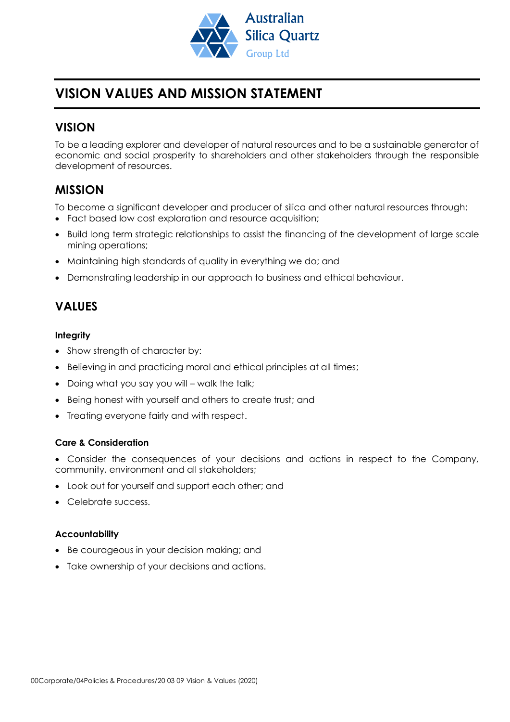

# **VISION VALUES AND MISSION STATEMENT**

### **VISION**

To be a leading explorer and developer of natural resources and to be a sustainable generator of economic and social prosperity to shareholders and other stakeholders through the responsible development of resources.

### **MISSION**

To become a significant developer and producer of silica and other natural resources through:

- Fact based low cost exploration and resource acquisition;
- Build long term strategic relationships to assist the financing of the development of large scale mining operations;
- Maintaining high standards of quality in everything we do; and
- Demonstrating leadership in our approach to business and ethical behaviour.

## **VALUES**

#### **Integrity**

- Show strength of character by:
- Believing in and practicing moral and ethical principles at all times;
- Doing what you say you will walk the talk;
- Being honest with yourself and others to create trust; and
- Treating everyone fairly and with respect.

#### **Care & Consideration**

- Consider the consequences of your decisions and actions in respect to the Company, community, environment and all stakeholders;
- Look out for yourself and support each other; and
- Celebrate success.

#### **Accountability**

- Be courageous in your decision making; and
- Take ownership of your decisions and actions.